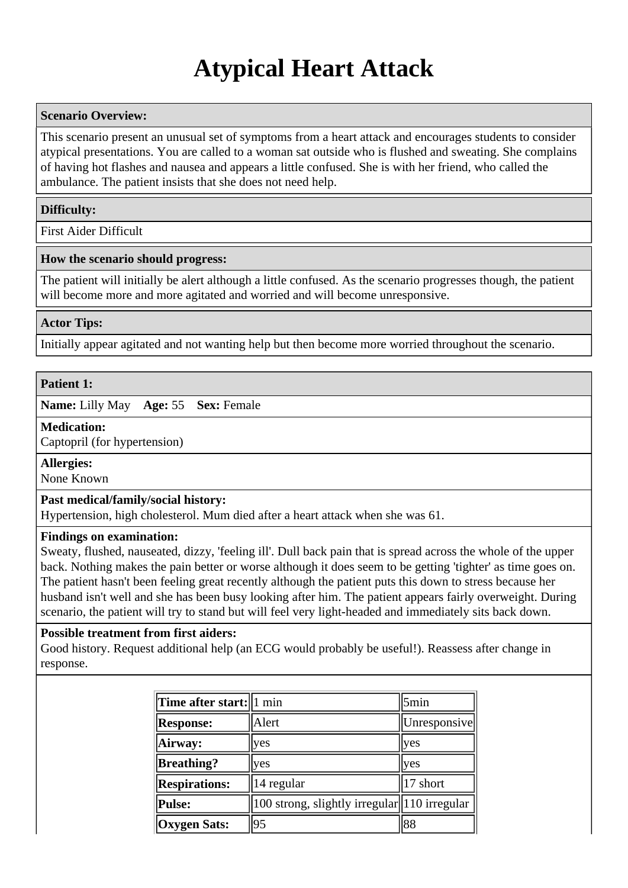# **Atypical Heart Attack**

# **Scenario Overview:**

This scenario present an unusual set of symptoms from a heart attack and encourages students to consider atypical presentations. You are called to a woman sat outside who is flushed and sweating. She complains of having hot flashes and nausea and appears a little confused. She is with her friend, who called the ambulance. The patient insists that she does not need help.

## **Difficulty:**

First Aider Difficult

## **How the scenario should progress:**

The patient will initially be alert although a little confused. As the scenario progresses though, the patient will become more and more agitated and worried and will become unresponsive.

## **Actor Tips:**

Initially appear agitated and not wanting help but then become more worried throughout the scenario.

#### **Patient 1:**

**Name:** Lilly May **Age:** 55 **Sex:** Female

#### **Medication:**

Captopril (for hypertension)

## **Allergies:**

None Known

#### **Past medical/family/social history:**

Hypertension, high cholesterol. Mum died after a heart attack when she was 61.

#### **Findings on examination:**

Sweaty, flushed, nauseated, dizzy, 'feeling ill'. Dull back pain that is spread across the whole of the upper back. Nothing makes the pain better or worse although it does seem to be getting 'tighter' as time goes on. The patient hasn't been feeling great recently although the patient puts this down to stress because her husband isn't well and she has been busy looking after him. The patient appears fairly overweight. During scenario, the patient will try to stand but will feel very light-headed and immediately sits back down.

## **Possible treatment from first aiders:**

Good history. Request additional help (an ECG would probably be useful!). Reassess after change in response.

| Time after start:   1 min |                                               | 5min         |
|---------------------------|-----------------------------------------------|--------------|
| <b>Response:</b>          | Alert                                         | Unresponsive |
| Airway:                   | yes                                           | yes          |
| <b>Breathing?</b>         | yes                                           | yes          |
| <b>Respirations:</b>      | 14 regular                                    | 17 short     |
| <b>Pulse:</b>             | 100 strong, slightly irregular  110 irregular |              |
| <b>Oxygen Sats:</b>       | 95                                            | 88           |